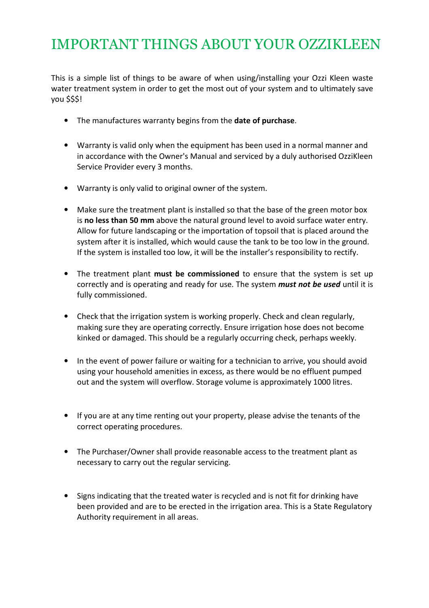# IMPORTANT THINGS ABOUT YOUR OZZIKLEEN

This is a simple list of things to be aware of when using/installing your Ozzi Kleen waste water treatment system in order to get the most out of your system and to ultimately save you \$\$\$!

- The manufactures warranty begins from the date of purchase.
- Warranty is valid only when the equipment has been used in a normal manner and in accordance with the Owner's Manual and serviced by a duly authorised OzziKleen Service Provider every 3 months.
- Warranty is only valid to original owner of the system.
- Make sure the treatment plant is installed so that the base of the green motor box is no less than 50 mm above the natural ground level to avoid surface water entry. Allow for future landscaping or the importation of topsoil that is placed around the system after it is installed, which would cause the tank to be too low in the ground. If the system is installed too low, it will be the installer's responsibility to rectify.
- The treatment plant must be commissioned to ensure that the system is set up correctly and is operating and ready for use. The system *must not be used* until it is fully commissioned.
- Check that the irrigation system is working properly. Check and clean regularly, making sure they are operating correctly. Ensure irrigation hose does not become kinked or damaged. This should be a regularly occurring check, perhaps weekly.
- In the event of power failure or waiting for a technician to arrive, you should avoid using your household amenities in excess, as there would be no effluent pumped out and the system will overflow. Storage volume is approximately 1000 litres.
- If you are at any time renting out your property, please advise the tenants of the correct operating procedures.
- The Purchaser/Owner shall provide reasonable access to the treatment plant as necessary to carry out the regular servicing.
- Signs indicating that the treated water is recycled and is not fit for drinking have been provided and are to be erected in the irrigation area. This is a State Regulatory Authority requirement in all areas.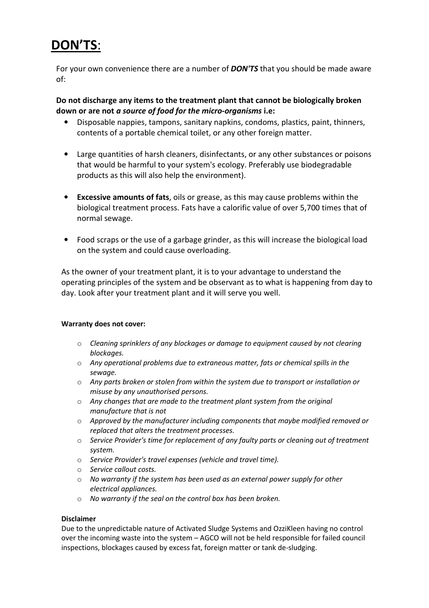## DON'TS:

For your own convenience there are a number of **DON'TS** that you should be made aware of:

#### Do not discharge any items to the treatment plant that cannot be biologically broken down or are not a source of food for the micro-organisms i.e:

- Disposable nappies, tampons, sanitary napkins, condoms, plastics, paint, thinners, contents of a portable chemical toilet, or any other foreign matter.
- Large quantities of harsh cleaners, disinfectants, or any other substances or poisons that would be harmful to your system's ecology. Preferably use biodegradable products as this will also help the environment).
- Excessive amounts of fats, oils or grease, as this may cause problems within the biological treatment process. Fats have a calorific value of over 5,700 times that of normal sewage.
- Food scraps or the use of a garbage grinder, as this will increase the biological load on the system and could cause overloading.

As the owner of your treatment plant, it is to your advantage to understand the operating principles of the system and be observant as to what is happening from day to day. Look after your treatment plant and it will serve you well.

#### Warranty does not cover:

- o Cleaning sprinklers of any blockages or damage to equipment caused by not clearing blockages.
- $\circ$  Any operational problems due to extraneous matter, fats or chemical spills in the sewage.
- $\circ$  Any parts broken or stolen from within the system due to transport or installation or misuse by any unauthorised persons.
- o Any changes that are made to the treatment plant system from the original manufacture that is not
- $\circ$  Approved by the manufacturer including components that maybe modified removed or replaced that alters the treatment processes.
- $\circ$  Service Provider's time for replacement of any faulty parts or cleaning out of treatment system.
- o Service Provider's travel expenses (vehicle and travel time).
- o Service callout costs.
- o No warranty if the system has been used as an external power supply for other electrical appliances.
- o No warranty if the seal on the control box has been broken.

#### Disclaimer

Due to the unpredictable nature of Activated Sludge Systems and OzziKleen having no control over the incoming waste into the system – AGCO will not be held responsible for failed council inspections, blockages caused by excess fat, foreign matter or tank de-sludging.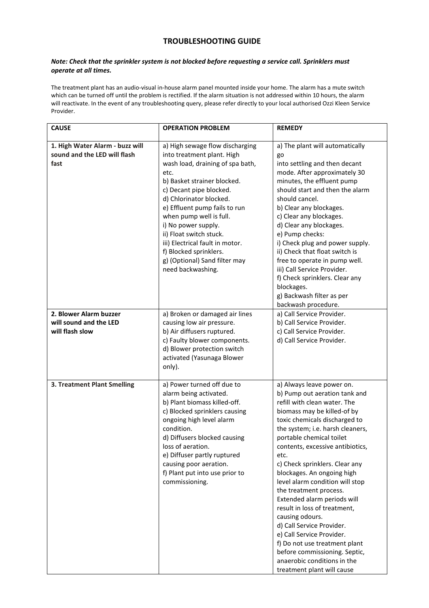#### TROUBLESHOOTING GUIDE

#### Note: Check that the sprinkler system is not blocked before requesting a service call. Sprinklers must operate at all times.

The treatment plant has an audio-visual in-house alarm panel mounted inside your home. The alarm has a mute switch which can be turned off until the problem is rectified. If the alarm situation is not addressed within 10 hours, the alarm will reactivate. In the event of any troubleshooting query, please refer directly to your local authorised Ozzi Kleen Service Provider.

| <b>CAUSE</b>                                                            | <b>OPERATION PROBLEM</b>                                                                                                                                                                                                                                                                                                                                                                                                        | <b>REMEDY</b>                                                                                                                                                                                                                                                                                                                                                                                                                                                                                                                                                                                                                                                                  |
|-------------------------------------------------------------------------|---------------------------------------------------------------------------------------------------------------------------------------------------------------------------------------------------------------------------------------------------------------------------------------------------------------------------------------------------------------------------------------------------------------------------------|--------------------------------------------------------------------------------------------------------------------------------------------------------------------------------------------------------------------------------------------------------------------------------------------------------------------------------------------------------------------------------------------------------------------------------------------------------------------------------------------------------------------------------------------------------------------------------------------------------------------------------------------------------------------------------|
|                                                                         |                                                                                                                                                                                                                                                                                                                                                                                                                                 |                                                                                                                                                                                                                                                                                                                                                                                                                                                                                                                                                                                                                                                                                |
| 1. High Water Alarm - buzz will<br>sound and the LED will flash<br>fast | a) High sewage flow discharging<br>into treatment plant. High<br>wash load, draining of spa bath,<br>etc.<br>b) Basket strainer blocked.<br>c) Decant pipe blocked.<br>d) Chlorinator blocked.<br>e) Effluent pump fails to run<br>when pump well is full.<br>i) No power supply.<br>ii) Float switch stuck.<br>iii) Electrical fault in motor.<br>f) Blocked sprinklers.<br>g) (Optional) Sand filter may<br>need backwashing. | a) The plant will automatically<br>go<br>into settling and then decant<br>mode. After approximately 30<br>minutes, the effluent pump<br>should start and then the alarm<br>should cancel.<br>b) Clear any blockages.<br>c) Clear any blockages.<br>d) Clear any blockages.<br>e) Pump checks:<br>i) Check plug and power supply.<br>ii) Check that float switch is<br>free to operate in pump well.<br>iii) Call Service Provider.<br>f) Check sprinklers. Clear any<br>blockages.<br>g) Backwash filter as per<br>backwash procedure.                                                                                                                                         |
| 2. Blower Alarm buzzer<br>will sound and the LED<br>will flash slow     | a) Broken or damaged air lines<br>causing low air pressure.<br>b) Air diffusers ruptured.<br>c) Faulty blower components.<br>d) Blower protection switch<br>activated (Yasunaga Blower<br>only).                                                                                                                                                                                                                                | a) Call Service Provider.<br>b) Call Service Provider.<br>c) Call Service Provider.<br>d) Call Service Provider.                                                                                                                                                                                                                                                                                                                                                                                                                                                                                                                                                               |
| 3. Treatment Plant Smelling                                             | a) Power turned off due to<br>alarm being activated.<br>b) Plant biomass killed-off.<br>c) Blocked sprinklers causing<br>ongoing high level alarm<br>condition.<br>d) Diffusers blocked causing<br>loss of aeration.<br>e) Diffuser partly ruptured<br>causing poor aeration.<br>f) Plant put into use prior to<br>commissioning.                                                                                               | a) Always leave power on.<br>b) Pump out aeration tank and<br>refill with clean water. The<br>biomass may be killed-of by<br>toxic chemicals discharged to<br>the system; i.e. harsh cleaners,<br>portable chemical toilet<br>contents, excessive antibiotics,<br>etc.<br>c) Check sprinklers. Clear any<br>blockages. An ongoing high<br>level alarm condition will stop<br>the treatment process.<br>Extended alarm periods will<br>result in loss of treatment,<br>causing odours.<br>d) Call Service Provider.<br>e) Call Service Provider.<br>f) Do not use treatment plant<br>before commissioning. Septic,<br>anaerobic conditions in the<br>treatment plant will cause |